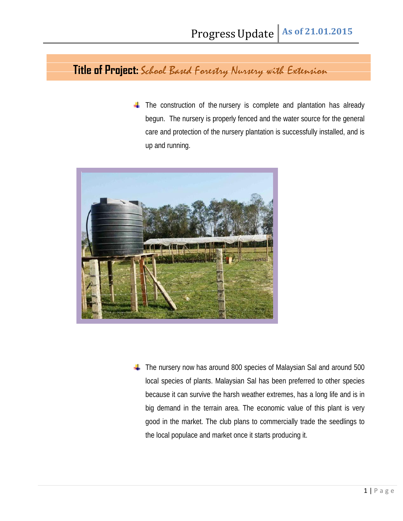**Title of Project:** School Based Forestry Nursery with Extension

**The construction of the nursery is complete and plantation has already** begun. The nursery is properly fenced and the water source for the general care and protection of the nursery plantation is successfully installed, and is up and running.



**The nursery now has around 800 species of Malaysian Sal and around 500** local species of plants. Malaysian Sal has been preferred to other species because it can survive the harsh weather extremes, has a long life and is in big demand in the terrain area. The economic value of this plant is very good in the market. The club plans to commercially trade the seedlings to the local populace and market once it starts producing it.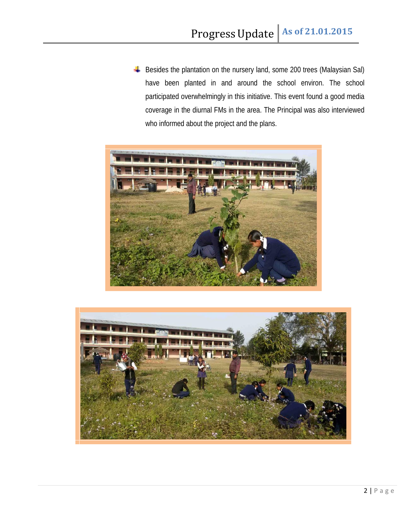Besides the plantation on the nursery land, some 200 trees (Malaysian Sal) have been planted in and around the school environ. The school participated overwhelmingly in this initiative. This event found a good media coverage in the diurnal FMs in the area. The Principal was also interviewed who informed about the project and the plans.



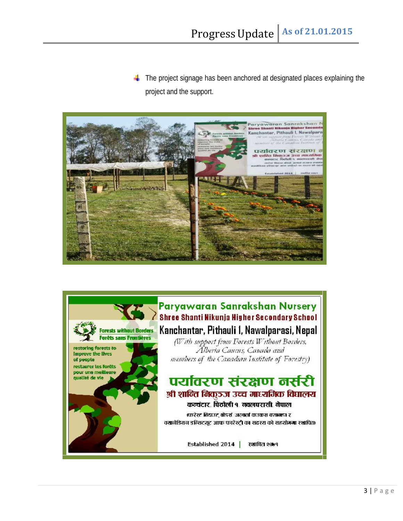**The project signage has been anchored at designated places explaining the** project and the support.



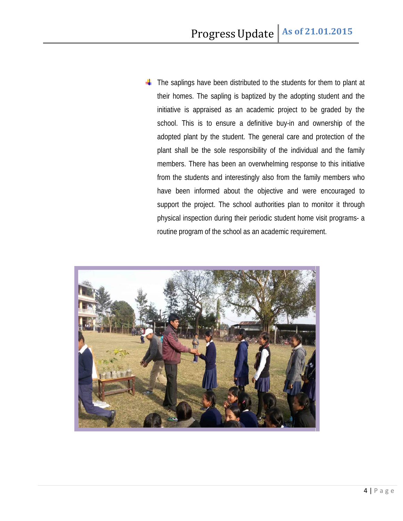$\blacksquare$  The saplings have been distributed to the students for them to plant at their homes. The sapling is baptized by the adopting student and the initiative is appraised as an academic project to be graded by the school. This is to ensure a definitive buy-in and ownership of the adopted plant by the student. The general care and protection of the plant shall be the sole responsibility of the individual and the family members. There has been an overwhelming response to this initiative from the students and interestingly also from the family members who have been informed about the objective and were encouraged to support the project. The school authorities plan to monitor it through physical inspection during their periodic student home visit programs- a routine program of the school as an academic requirement.

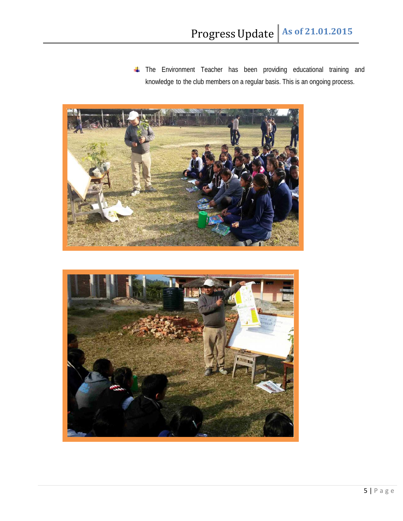**The Environment Teacher has been providing educational training and** knowledge to the club members on a regular basis. This is an ongoing process.



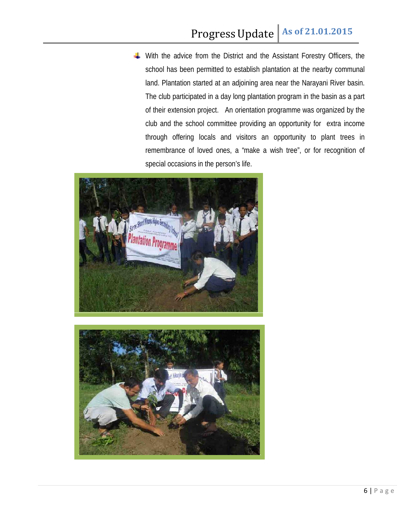With the advice from the District and the Assistant Forestry Officers, the school has been permitted to establish plantation at the nearby communal land. Plantation started at an adjoining area near the Narayani River basin. The club participated in a day long plantation program in the basin as a part of their extension project. An orientation programme was organized by the club and the school committee providing an opportunity for extra income through offering locals and visitors an opportunity to plant trees in remembrance of loved ones, a "make a wish tree", or for recognition of special occasions in the person's life.



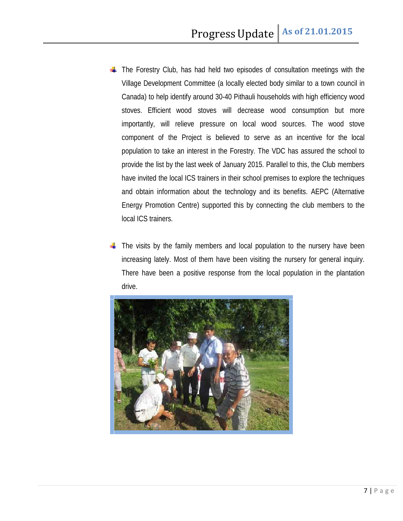- **The Forestry Club, has had held two episodes of consultation meetings with the** Village Development Committee (a locally elected body similar to a town council in Canada) to help identify around 30-40 Pithauli households with high efficiency wood stoves. Efficient wood stoves will decrease wood consumption but more importantly, will relieve pressure on local wood sources. The wood stove component of the Project is believed to serve as an incentive for the local population to take an interest in the Forestry. The VDC has assured the school to provide the list by the last week of January 2015. Parallel to this, the Club members have invited the local ICS trainers in their school premises to explore the techniques and obtain information about the technology and its benefits. AEPC (Alternative Energy Promotion Centre) supported this by connecting the club members to the local ICS trainers.
- $\blacksquare$  The visits by the family members and local population to the nursery have been increasing lately. Most of them have been visiting the nursery for general inquiry. There have been a positive response from the local population in the plantation drive.